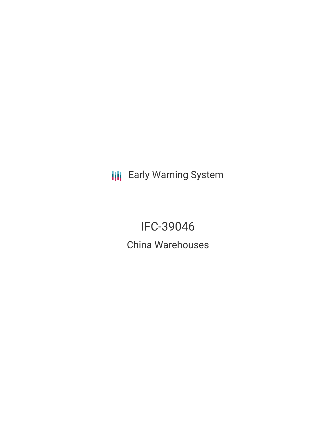**III** Early Warning System

IFC-39046 China Warehouses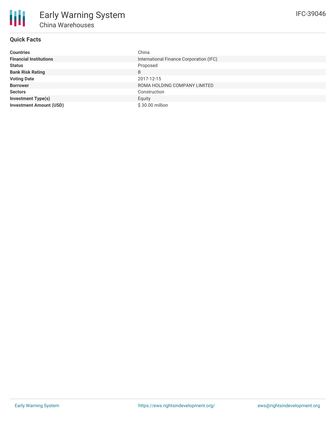## **Quick Facts**

朋

| <b>Countries</b>               | China                                   |
|--------------------------------|-----------------------------------------|
| <b>Financial Institutions</b>  | International Finance Corporation (IFC) |
| <b>Status</b>                  | Proposed                                |
| <b>Bank Risk Rating</b>        | B                                       |
| <b>Voting Date</b>             | 2017-12-15                              |
| <b>Borrower</b>                | ROMA HOLDING COMPANY LIMITED            |
| <b>Sectors</b>                 | Construction                            |
| <b>Investment Type(s)</b>      | Equity                                  |
| <b>Investment Amount (USD)</b> | \$30.00 million                         |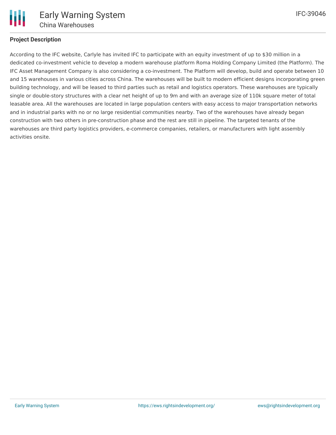

## **Project Description**

According to the IFC website, Carlyle has invited IFC to participate with an equity investment of up to \$30 million in a dedicated co-investment vehicle to develop a modern warehouse platform Roma Holding Company Limited (the Platform). The IFC Asset Management Company is also considering a co-investment. The Platform will develop, build and operate between 10 and 15 warehouses in various cities across China. The warehouses will be built to modern efficient designs incorporating green building technology, and will be leased to third parties such as retail and logistics operators. These warehouses are typically single or double-story structures with a clear net height of up to 9m and with an average size of 110k square meter of total leasable area. All the warehouses are located in large population centers with easy access to major transportation networks and in industrial parks with no or no large residential communities nearby. Two of the warehouses have already began construction with two others in pre-construction phase and the rest are still in pipeline. The targeted tenants of the warehouses are third party logistics providers, e-commerce companies, retailers, or manufacturers with light assembly activities onsite.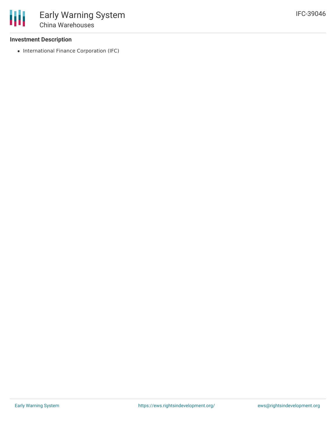### **Investment Description**

• International Finance Corporation (IFC)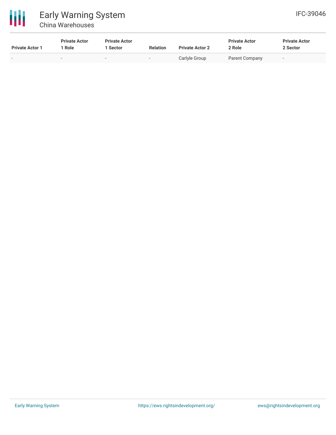

# Early Warning System China Warehouses

| <b>Private Actor 1</b> | <b>Private Actor</b><br>Role | <b>Private Actor</b><br>Sector | <b>Relation</b> | <b>Private Actor 2</b> | <b>Private Actor</b><br>2 Role | <b>Private Actor</b><br>2 Sector |
|------------------------|------------------------------|--------------------------------|-----------------|------------------------|--------------------------------|----------------------------------|
| $\sim$                 |                              | $\overline{\phantom{a}}$       | -               | Carlyle Group          | Parent Company                 | $\sim$                           |